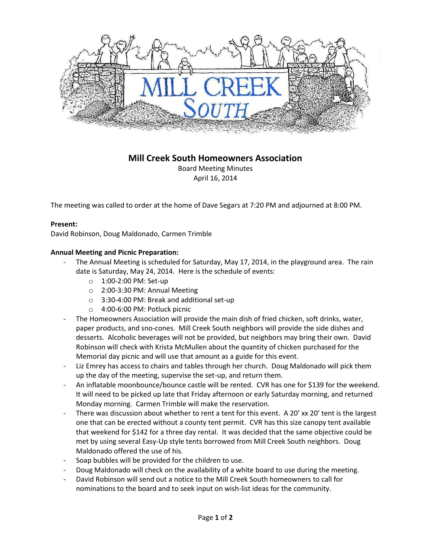

# **Mill Creek South Homeowners Association**

Board Meeting Minutes April 16, 2014

The meeting was called to order at the home of Dave Segars at 7:20 PM and adjourned at 8:00 PM.

## **Present:**

David Robinson, Doug Maldonado, Carmen Trimble

## **Annual Meeting and Picnic Preparation:**

- The Annual Meeting is scheduled for Saturday, May 17, 2014, in the playground area. The rain date is Saturday, May 24, 2014. Here is the schedule of events:
	- o 1:00-2:00 PM: Set-up
	- o 2:00-3:30 PM: Annual Meeting
	- o 3:30-4:00 PM: Break and additional set-up
	- o 4:00-6:00 PM: Potluck picnic
- The Homeowners Association will provide the main dish of fried chicken, soft drinks, water, paper products, and sno-cones. Mill Creek South neighbors will provide the side dishes and desserts. Alcoholic beverages will not be provided, but neighbors may bring their own. David Robinson will check with Krista McMullen about the quantity of chicken purchased for the Memorial day picnic and will use that amount as a guide for this event.
- Liz Emrey has access to chairs and tables through her church. Doug Maldonado will pick them up the day of the meeting, supervise the set-up, and return them.
- An inflatable moonbounce/bounce castle will be rented. CVR has one for \$139 for the weekend. It will need to be picked up late that Friday afternoon or early Saturday morning, and returned Monday morning. Carmen Trimble will make the reservation.
- There was discussion about whether to rent a tent for this event. A 20' xx 20' tent is the largest one that can be erected without a county tent permit. CVR has this size canopy tent available that weekend for \$142 for a three day rental. It was decided that the same objective could be met by using several Easy-Up style tents borrowed from Mill Creek South neighbors. Doug Maldonado offered the use of his.
- Soap bubbles will be provided for the children to use.
- Doug Maldonado will check on the availability of a white board to use during the meeting.
- David Robinson will send out a notice to the Mill Creek South homeowners to call for nominations to the board and to seek input on wish-list ideas for the community.